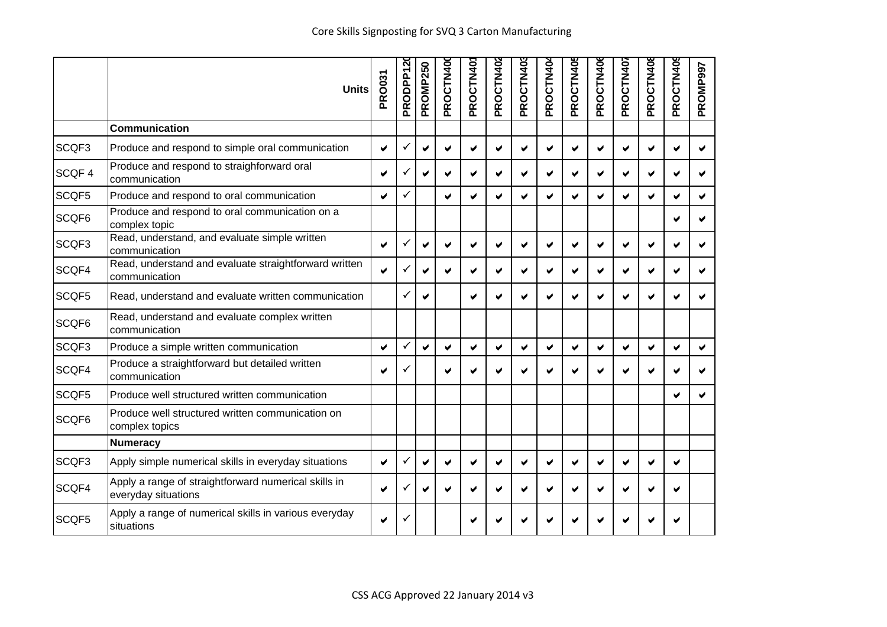|       | <b>Units</b>                                                                | <b>PRO031</b>         | PRODPP12 | PROMP250     | PROCTN400             | PROCTN40 | PROCTN402            | PROCTN403 | PROCTN40 | PROCTN405 | PROCTN40 | PROCTN407             | PROCTN408 | PROCTN409 | PROMP997 |
|-------|-----------------------------------------------------------------------------|-----------------------|----------|--------------|-----------------------|----------|----------------------|-----------|----------|-----------|----------|-----------------------|-----------|-----------|----------|
|       | Communication                                                               |                       |          |              |                       |          |                      |           |          |           |          |                       |           |           |          |
| SCQF3 | Produce and respond to simple oral communication                            | ✔                     | ✓        | ✔            | ✔                     | ✔        | ✔                    | ✔         | ✔        | ✔         |          | ✔                     | ✔         | ✔         |          |
| SCQF4 | Produce and respond to straighforward oral<br>communication                 | ✔                     |          | ✔            | ✔                     | ✔        | ✔                    | ✔         | ✔        | ✔         |          | ✔                     | ✔         | ✔         |          |
| SCQF5 | Produce and respond to oral communication                                   | ✔                     | ✓        |              | $\blacktriangleright$ | ✔        | V                    | ✔         | ✔        | V         | ✔        | $\blacktriangleright$ | ✔         | ✔         |          |
| SCQF6 | Produce and respond to oral communication on a<br>complex topic             |                       |          |              |                       |          |                      |           |          |           |          |                       |           |           |          |
| SCQF3 | Read, understand, and evaluate simple written<br>communication              | $\blacktriangleright$ | ✓        | ✔            | ✔                     | ✔        | ✔                    | W         | ✔        | ✔         |          | ✔                     | ✔         |           |          |
| SCQF4 | Read, understand and evaluate straightforward written<br>communication      | ✔                     |          | ✔            | ✔                     | ✔        | ✔                    | ✔         | ✔        | ✔         |          | ✔                     | ✔         |           |          |
| SCQF5 | Read, understand and evaluate written communication                         |                       | ✓        | ✔            |                       | ✔        | V                    | V         | ✔        | ✔         |          | ✔                     | V         |           |          |
| SCQF6 | Read, understand and evaluate complex written<br>communication              |                       |          |              |                       |          |                      |           |          |           |          |                       |           |           |          |
| SCQF3 | Produce a simple written communication                                      | ✔                     | ✓        | $\checkmark$ | $\blacktriangledown$  | ✔        | $\blacktriangledown$ | ✔         | V        | ✔         | ✔        | $\checkmark$          | ✔         | ✔         | ✔        |
| SCQF4 | Produce a straightforward but detailed written<br>communication             | ✔                     |          |              | ✔                     | ✔        | ✔                    |           | ✔        |           |          |                       |           |           |          |
| SCQF5 | Produce well structured written communication                               |                       |          |              |                       |          |                      |           |          |           |          |                       |           |           |          |
| SCQF6 | Produce well structured written communication on<br>complex topics          |                       |          |              |                       |          |                      |           |          |           |          |                       |           |           |          |
|       | Numeracy                                                                    |                       |          |              |                       |          |                      |           |          |           |          |                       |           |           |          |
| SCQF3 | Apply simple numerical skills in everyday situations                        | ✔                     | ✓        | ✔            | ✔                     | ✔        | v                    | ✔         | ✔        | ✔         |          | ✔                     | ✔         | ✔         |          |
| SCQF4 | Apply a range of straightforward numerical skills in<br>everyday situations | ✔                     |          | ✔            | ✔                     | ✔        | ✔                    | ✔         | ✔        | ✔         | v        | ✔                     | ✔         | ✔         |          |
| SCQF5 | Apply a range of numerical skills in various everyday<br>situations         | ✔                     |          |              |                       |          |                      |           |          |           |          |                       |           |           |          |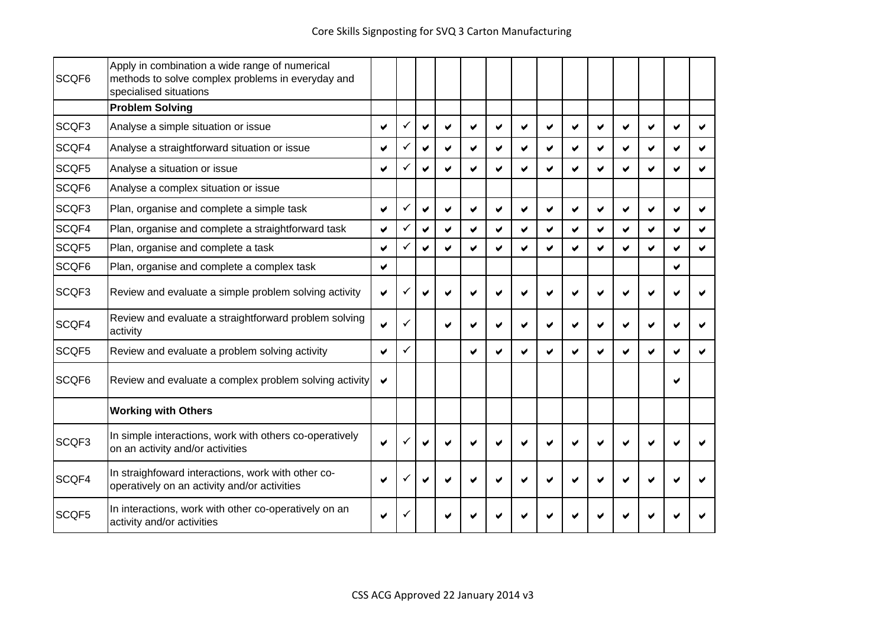| SCQF6 | Apply in combination a wide range of numerical<br>methods to solve complex problems in everyday and<br>specialised situations |   |              |                      |   |   |   |                      |   |   |   |   |                       |   |  |
|-------|-------------------------------------------------------------------------------------------------------------------------------|---|--------------|----------------------|---|---|---|----------------------|---|---|---|---|-----------------------|---|--|
|       | <b>Problem Solving</b>                                                                                                        |   |              |                      |   |   |   |                      |   |   |   |   |                       |   |  |
| SCQF3 | Analyse a simple situation or issue                                                                                           | ✔ |              | $\blacktriangledown$ | ✔ | ✔ | v | ✔                    | ✔ | ✔ | ✔ | V | ✔                     |   |  |
| SCQF4 | Analyse a straightforward situation or issue                                                                                  | ✔ | ✓            | ✔                    | ✔ | ✔ | ✔ | ✔                    | ✔ | ✔ | ✔ | ✔ | ✔                     | ✔ |  |
| SCQF5 | Analyse a situation or issue                                                                                                  | ✔ | $\checkmark$ | ✔                    | ✔ | V | V | ✔                    | V | V |   |   | $\blacktriangleright$ |   |  |
| SCQF6 | Analyse a complex situation or issue                                                                                          |   |              |                      |   |   |   |                      |   |   |   |   |                       |   |  |
| SCQF3 | Plan, organise and complete a simple task                                                                                     | ✔ | ✓            | ✔                    | ✔ | ✔ | ✔ | ✔                    | ✔ | ✔ |   | ✔ | ✔                     | ✔ |  |
| SCQF4 | Plan, organise and complete a straightforward task                                                                            | ✔ | ✓            | $\blacktriangledown$ | ✔ | ✔ | V | $\blacktriangledown$ | ✔ | ✔ | ✔ | ✔ | ✔                     | ✔ |  |
| SCQF5 | Plan, organise and complete a task                                                                                            | ✔ | ✓            | ✔                    | ✔ | ✔ | ✔ | ✔                    | ✔ |   |   |   | ✔                     | ✔ |  |
| SCQF6 | Plan, organise and complete a complex task                                                                                    | ✔ |              |                      |   |   |   |                      |   |   |   |   |                       | ✔ |  |
| SCQF3 | Review and evaluate a simple problem solving activity                                                                         | ✔ |              |                      |   |   |   |                      |   |   |   |   |                       |   |  |
| SCQF4 | Review and evaluate a straightforward problem solving<br>activity                                                             | ✔ | ✓            |                      | ✔ |   |   |                      |   |   |   |   |                       |   |  |
| SCQF5 | Review and evaluate a problem solving activity                                                                                | ✔ | $\checkmark$ |                      |   | ✔ | ✔ | ✔                    | ✔ |   |   |   | ✔                     |   |  |
| SCQF6 | Review and evaluate a complex problem solving activity                                                                        | ✔ |              |                      |   |   |   |                      |   |   |   |   |                       |   |  |
|       | <b>Working with Others</b>                                                                                                    |   |              |                      |   |   |   |                      |   |   |   |   |                       |   |  |
| SCQF3 | In simple interactions, work with others co-operatively<br>on an activity and/or activities                                   | ✔ |              |                      |   |   |   |                      |   |   |   |   |                       |   |  |
| SCQF4 | In straighfoward interactions, work with other co-<br>operatively on an activity and/or activities                            |   |              | ✔                    |   |   |   |                      |   |   |   |   |                       |   |  |
| SCQF5 | In interactions, work with other co-operatively on an<br>activity and/or activities                                           | ✔ |              |                      |   |   |   |                      |   |   |   |   |                       |   |  |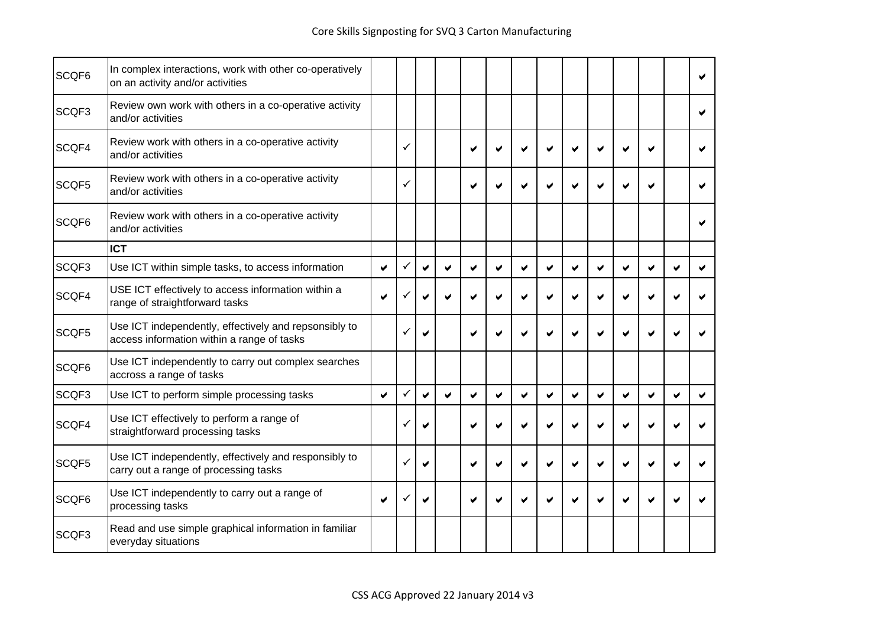| SCQF6 | In complex interactions, work with other co-operatively<br>on an activity and/or activities         |                       |   |                       |                       |   |   |                       |   |   |   |   |                       |   |  |
|-------|-----------------------------------------------------------------------------------------------------|-----------------------|---|-----------------------|-----------------------|---|---|-----------------------|---|---|---|---|-----------------------|---|--|
| SCQF3 | Review own work with others in a co-operative activity<br>and/or activities                         |                       |   |                       |                       |   |   |                       |   |   |   |   |                       |   |  |
| SCQF4 | Review work with others in a co-operative activity<br>and/or activities                             |                       | ✓ |                       |                       | ✔ | ✔ |                       |   | ✔ |   |   | $\blacktriangleright$ |   |  |
| SCQF5 | Review work with others in a co-operative activity<br>and/or activities                             |                       | ✓ |                       |                       | ✔ | ✔ |                       |   |   |   |   | M                     |   |  |
| SCQF6 | Review work with others in a co-operative activity<br>and/or activities                             |                       |   |                       |                       |   |   |                       |   |   |   |   |                       |   |  |
|       | <b>ICT</b>                                                                                          |                       |   |                       |                       |   |   |                       |   |   |   |   |                       |   |  |
| SCQF3 | Use ICT within simple tasks, to access information                                                  | ✔                     | ✓ | $\blacktriangledown$  | $\blacktriangledown$  | ✔ | ✔ | ✔                     | ✔ | V | ✔ | ✔ | ✔                     | ✔ |  |
| SCQF4 | USE ICT effectively to access information within a<br>range of straightforward tasks                | ✔                     |   | ✔                     |                       |   |   |                       |   |   |   |   |                       |   |  |
| SCQF5 | Use ICT independently, effectively and repsonsibly to<br>access information within a range of tasks |                       | ✓ | ✔                     |                       | ✔ |   |                       |   |   |   |   |                       |   |  |
| SCQF6 | Use ICT independently to carry out complex searches<br>accross a range of tasks                     |                       |   |                       |                       |   |   |                       |   |   |   |   |                       |   |  |
| SCQF3 | Use ICT to perform simple processing tasks                                                          | $\blacktriangleright$ | ✓ | $\blacktriangleright$ | $\blacktriangleright$ | ✔ | ✔ | $\blacktriangleright$ | ✔ | Ø | V | ✔ | $\blacktriangleright$ | ✔ |  |
| SCQF4 | Use ICT effectively to perform a range of<br>straightforward processing tasks                       |                       | ✓ | ✔                     |                       |   | ✔ |                       |   |   |   |   |                       |   |  |
| SCQF5 | Use ICT independently, effectively and responsibly to<br>carry out a range of processing tasks      |                       | ✓ | ✔                     |                       | ✔ | ✔ |                       |   |   |   |   |                       |   |  |
| SCQF6 | Use ICT independently to carry out a range of<br>processing tasks                                   | ✔                     | ✓ | ✔                     |                       | ✔ | v |                       |   |   |   |   |                       |   |  |
| SCQF3 | Read and use simple graphical information in familiar<br>everyday situations                        |                       |   |                       |                       |   |   |                       |   |   |   |   |                       |   |  |